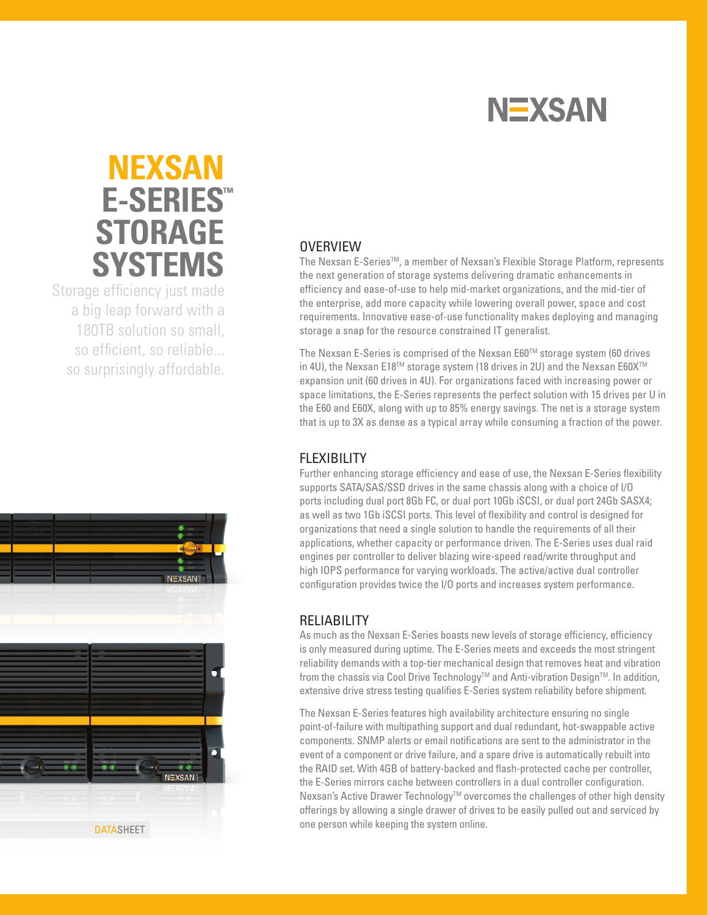

# **nexsan E-Series ™ STORAGE SYSTEMS**

Storage efficiency just made a big leap forward with a 180TB solution so small, so efficient, so reliable... so surprisingly affordable.

# **OVERVIEW**

The Nexsan E-Series™, a member of Nexsan's Flexible Storage Platform, represents the next generation of storage systems delivering dramatic enhancements in efficiency and ease-of-use to help mid-market organizations, and the mid-tier of the enterprise, add more capacity while lowering overall power, space and cost requirements. Innovative ease-of-use functionality makes deploying and managing storage a snap for the resource constrained IT generalist.

The Nexsan E-Series is comprised of the Nexsan E60™ storage system (60 drives in 4U), the Nexsan E18™ storage system (18 drives in 2U) and the Nexsan E60X<sup>™</sup> expansion unit (60 drives in 4U). For organizations faced with increasing power or space limitations, the E-Series represents the perfect solution with 15 drives per U in the E60 and E60X, along with up to 85% energy savings. The net is a storage system that is up to 3X as dense as a typical array while consuming a fraction of the power.

#### **FLEXIBILITY**

Further enhancing storage efficiency and ease of use, the Nexsan E-Series flexibility supports SATA/SAS/SSD drives in the same chassis along with a choice of I/O ports including dual port 8Gb FC, or dual port 10Gb iSCSI, or dual port 24Gb SASX4; as well as two 1Gb iSCSI ports. This level of flexibility and control is designed for organizations that need a single solution to handle the requirements of all their applications, whether capacity or performance driven. The E-Series uses dual raid engines per controller to deliver blazing wire-speed read/write throughput and high IOPS performance for varying workloads. The active/active dual controller configuration provides twice the I/O ports and increases system performance.

#### RELIABILITY

As much as the Nexsan E-Series boasts new levels of storage efficiency, efficiency is only measured during uptime. The E-Series meets and exceeds the most stringent reliability demands with a top-tier mechanical design that removes heat and vibration from the chassis via Cool Drive Technology™ and Anti-vibration Design™. In addition, extensive drive stress testing qualifies E-Series system reliability before shipment.

The Nexsan E-Series features high availability architecture ensuring no single point-of-failure with multipathing support and dual redundant, hot-swappable active components. SNMP alerts or email notifications are sent to the administrator in the event of a component or drive failure, and a spare drive is automatically rebuilt into the RAID set. With 4GB of battery-backed and flash-protected cache per controller, the E-Series mirrors cache between controllers in a dual controller configuration. Nexsan's Active Drawer Technology™ overcomes the challenges of other high density offerings by allowing a single drawer of drives to be easily pulled out and serviced by

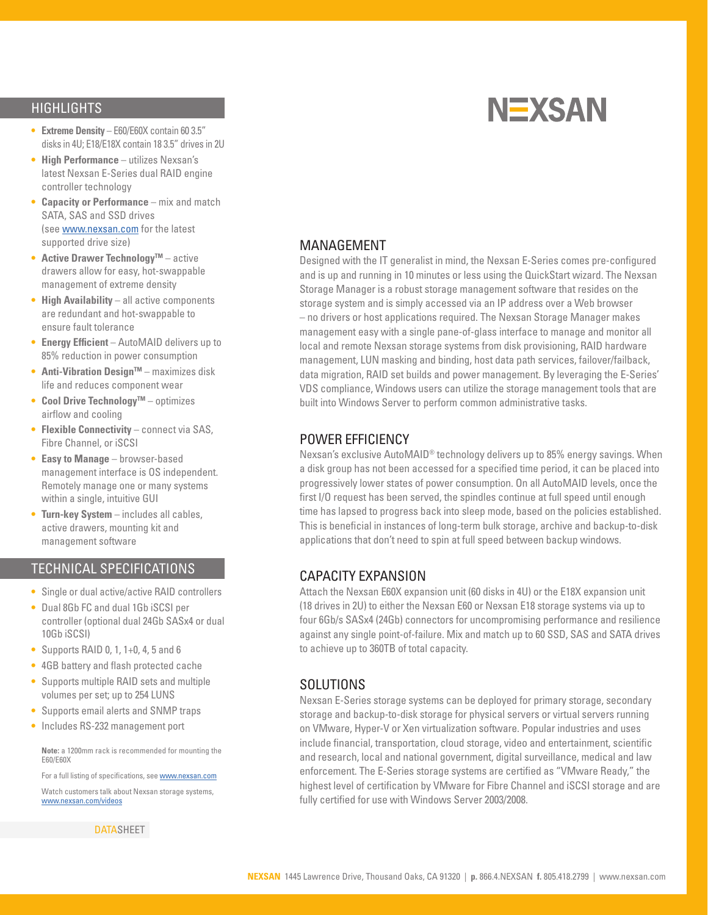## **HIGHLIGHTS**

- **• Extreme Density** E60/E60X contain 60 3.5" disks in 4U; E18/E18X contain 18 3.5" drives in 2U
- **• High Performance** utilizes Nexsan's latest Nexsan E-Series dual RAID engine controller technology
- **• Capacity or Performance** mix and match SATA, SAS and SSD drives (see www.nexsan.com for the latest supported drive size)
- **Active Drawer Technology™** active drawers allow for easy, hot-swappable management of extreme density
- **• High Availability** all active components are redundant and hot-swappable to ensure fault tolerance
- **• Energy Efficient** AutoMAID delivers up to 85% reduction in power consumption
- **Anti-Vibration Design™** maximizes disk life and reduces component wear
- **Cool Drive Technology™** optimizes airflow and cooling
- **• Flexible Connectivity** connect via SAS, Fibre Channel, or iSCSI
- **• Easy to Manage** browser-based management interface is OS independent. Remotely manage one or many systems within a single, intuitive GUI
- **• Turn-key System** includes all cables, active drawers, mounting kit and management software

## technical specifications

- **•**  Single or dual active/active RAID controllers
- **•**  Dual 8Gb FC and dual 1Gb iSCSI per controller (optional dual 24Gb SASx4 or dual 10Gb iSCSI)
- **•**  Supports RAID 0, 1, 1+0, 4, 5 and 6
- **•**  4GB battery and flash protected cache
- **•**  Supports multiple RAID sets and multiple volumes per set; up to 254 LUNS
- **•**  Supports email alerts and SNMP traps
- **•**  Includes RS-232 management port

**Note:** a 1200mm rack is recommended for mounting the E60/E60X

For a full listing of specifications, see **www.nexsan.com** 

Watch customers talk about Nexsan storage systems, www.nexsan.com/videos

**DATASHEET** 

#### MANAGEMENT

Designed with the IT generalist in mind, the Nexsan E-Series comes pre-configured and is up and running in 10 minutes or less using the QuickStart wizard. The Nexsan Storage Manager is a robust storage management software that resides on the storage system and is simply accessed via an IP address over a Web browser – no drivers or host applications required. The Nexsan Storage Manager makes management easy with a single pane-of-glass interface to manage and monitor all local and remote Nexsan storage systems from disk provisioning, RAID hardware management, LUN masking and binding, host data path services, failover/failback, data migration, RAID set builds and power management. By leveraging the E-Series' VDS compliance, Windows users can utilize the storage management tools that are built into Windows Server to perform common administrative tasks.

#### POWER EFFICIENCY

Nexsan's exclusive AutoMAID® technology delivers up to 85% energy savings. When a disk group has not been accessed for a specified time period, it can be placed into progressively lower states of power consumption. On all AutoMAID levels, once the first I/O request has been served, the spindles continue at full speed until enough time has lapsed to progress back into sleep mode, based on the policies established. This is beneficial in instances of long-term bulk storage, archive and backup-to-disk applications that don't need to spin at full speed between backup windows.

#### CAPACITY EXPANSION

Attach the Nexsan E60X expansion unit (60 disks in 4U) or the E18X expansion unit (18 drives in 2U) to either the Nexsan E60 or Nexsan E18 storage systems via up to four 6Gb/s SASx4 (24Gb) connectors for uncompromising performance and resilience against any single point-of-failure. Mix and match up to 60 SSD, SAS and SATA drives to achieve up to 360TB of total capacity.

#### SOLUTIONS

Nexsan E-Series storage systems can be deployed for primary storage, secondary storage and backup-to-disk storage for physical servers or virtual servers running on VMware, Hyper-V or Xen virtualization software. Popular industries and uses include financial, transportation, cloud storage, video and entertainment, scientific and research, local and national government, digital surveillance, medical and law enforcement. The E-Series storage systems are certified as "VMware Ready," the highest level of certification by VMware for Fibre Channel and iSCSI storage and are fully certified for use with Windows Server 2003/2008.

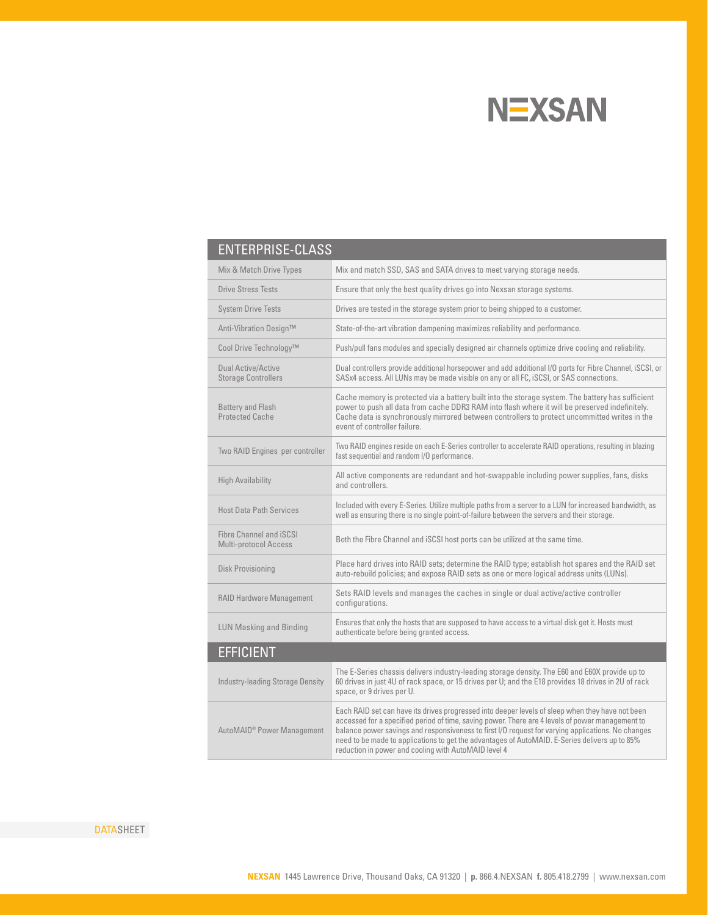

| <b>ENTERPRISE-CLASS</b>                                 |                                                                                                                                                                                                                                                                                                                                                                                                                                                                      |
|---------------------------------------------------------|----------------------------------------------------------------------------------------------------------------------------------------------------------------------------------------------------------------------------------------------------------------------------------------------------------------------------------------------------------------------------------------------------------------------------------------------------------------------|
| Mix & Match Drive Types                                 | Mix and match SSD, SAS and SATA drives to meet varying storage needs.                                                                                                                                                                                                                                                                                                                                                                                                |
| <b>Drive Stress Tests</b>                               | Ensure that only the best quality drives go into Nexsan storage systems.                                                                                                                                                                                                                                                                                                                                                                                             |
| <b>System Drive Tests</b>                               | Drives are tested in the storage system prior to being shipped to a customer.                                                                                                                                                                                                                                                                                                                                                                                        |
| Anti-Vibration Design™                                  | State-of-the-art vibration dampening maximizes reliability and performance.                                                                                                                                                                                                                                                                                                                                                                                          |
| Cool Drive Technology™                                  | Push/pull fans modules and specially designed air channels optimize drive cooling and reliability.                                                                                                                                                                                                                                                                                                                                                                   |
| <b>Dual Active/Active</b><br><b>Storage Controllers</b> | Dual controllers provide additional horsepower and add additional I/O ports for Fibre Channel, iSCSI, or<br>SASx4 access. All LUNs may be made visible on any or all FC, iSCSI, or SAS connections.                                                                                                                                                                                                                                                                  |
| <b>Battery and Flash</b><br><b>Protected Cache</b>      | Cache memory is protected via a battery built into the storage system. The battery has sufficient<br>power to push all data from cache DDR3 RAM into flash where it will be preserved indefinitely.<br>Cache data is synchronously mirrored between controllers to protect uncommitted writes in the<br>event of controller failure.                                                                                                                                 |
| Two RAID Engines per controller                         | Two RAID engines reside on each E-Series controller to accelerate RAID operations, resulting in blazing<br>fast sequential and random I/O performance.                                                                                                                                                                                                                                                                                                               |
| <b>High Availability</b>                                | All active components are redundant and hot-swappable including power supplies, fans, disks<br>and controllers.                                                                                                                                                                                                                                                                                                                                                      |
| <b>Host Data Path Services</b>                          | Included with every E-Series. Utilize multiple paths from a server to a LUN for increased bandwidth, as<br>well as ensuring there is no single point-of-failure between the servers and their storage.                                                                                                                                                                                                                                                               |
| <b>Fibre Channel and iSCSI</b><br>Multi-protocol Access | Both the Fibre Channel and iSCSI host ports can be utilized at the same time.                                                                                                                                                                                                                                                                                                                                                                                        |
| Disk Provisioning                                       | Place hard drives into RAID sets; determine the RAID type; establish hot spares and the RAID set<br>auto-rebuild policies; and expose RAID sets as one or more logical address units (LUNs).                                                                                                                                                                                                                                                                         |
| <b>RAID Hardware Management</b>                         | Sets RAID levels and manages the caches in single or dual active/active controller<br>configurations.                                                                                                                                                                                                                                                                                                                                                                |
| <b>LUN Masking and Binding</b>                          | Ensures that only the hosts that are supposed to have access to a virtual disk get it. Hosts must<br>authenticate before being granted access.                                                                                                                                                                                                                                                                                                                       |
| <b>EFFICIENT</b>                                        |                                                                                                                                                                                                                                                                                                                                                                                                                                                                      |
| <b>Industry-leading Storage Density</b>                 | The E-Series chassis delivers industry-leading storage density. The E60 and E60X provide up to<br>60 drives in just 4U of rack space, or 15 drives per U; and the E18 provides 18 drives in 2U of rack<br>space, or 9 drives per U.                                                                                                                                                                                                                                  |
| AutoMAID <sup>®</sup> Power Management                  | Each RAID set can have its drives progressed into deeper levels of sleep when they have not been<br>accessed for a specified period of time, saving power. There are 4 levels of power management to<br>balance power savings and responsiveness to first I/O request for varying applications. No changes<br>need to be made to applications to get the advantages of AutoMAID. E-Series delivers up to 85%<br>reduction in power and cooling with AutoMAID level 4 |

**DATASHEET**